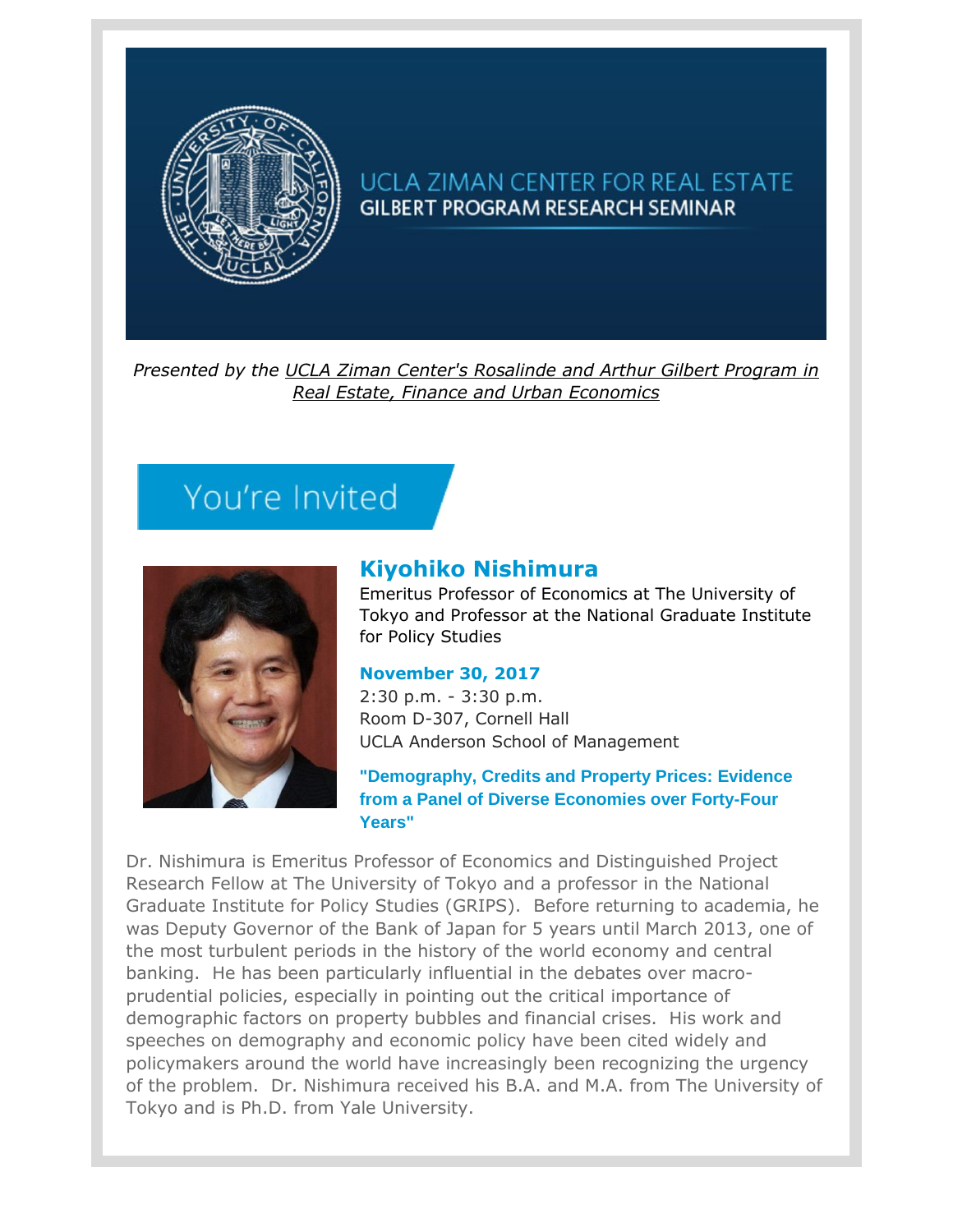

## UCLA ZIMAN CENTER FOR REAL ESTATE **GILBERT PROGRAM RESEARCH SEMINAR**

*Presented by the [UCLA Ziman Center's Rosalinde and Arthur Gilbert Program in](https://t.e2ma.net/click/ujo91/25ia3j/efemoj)  [Real Estate, Finance and Urban Economics](https://t.e2ma.net/click/ujo91/25ia3j/efemoj)*

## You're Invited



## **[Kiyohiko Nishimura](https://t.e2ma.net/click/ujo91/25ia3j/a0fmoj)**

Emeritus Professor of Economics at The University of Tokyo and Professor at the National Graduate Institute for Policy Studies

## **November 30, 2017**

2:30 p.m. - 3:30 p.m. Room D-307, Cornell Hall UCLA Anderson School of Management

**"Demography, Credits and Property Prices: Evidence from a Panel of Diverse Economies over Forty-Four Years"**

Dr. Nishimura is Emeritus Professor of Economics and Distinguished Project Research Fellow at The University of Tokyo and a professor in the National Graduate Institute for Policy Studies (GRIPS). Before returning to academia, he was Deputy Governor of the Bank of Japan for 5 years until March 2013, one of the most turbulent periods in the history of the world economy and central banking. He has been particularly influential in the debates over macroprudential policies, especially in pointing out the critical importance of demographic factors on property bubbles and financial crises. His work and speeches on demography and economic policy have been cited widely and policymakers around the world have increasingly been recognizing the urgency of the problem. Dr. Nishimura received his B.A. and M.A. from The University of Tokyo and is Ph.D. from Yale University.